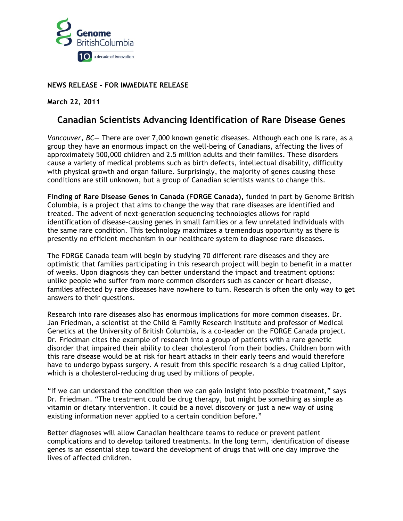

## **NEWS RELEASE – FOR IMMEDIATE RELEASE**

**March 22, 2011**

## **Canadian Scientists Advancing Identification of Rare Disease Genes**

*Vancouver, BC—* There are over 7,000 known genetic diseases. Although each one is rare, as a group they have an enormous impact on the well-being of Canadians, affecting the lives of approximately 500,000 children and 2.5 million adults and their families. These disorders cause a variety of medical problems such as birth defects, intellectual disability, difficulty with physical growth and organ failure. Surprisingly, the majority of genes causing these conditions are still unknown, but a group of Canadian scientists wants to change this.

**Finding of Rare Disease Genes in Canada (FORGE Canada),** funded in part by Genome British Columbia, is a project that aims to change the way that rare diseases are identified and treated. The advent of next-generation sequencing technologies allows for rapid identification of disease-causing genes in small families or a few unrelated individuals with the same rare condition. This technology maximizes a tremendous opportunity as there is presently no efficient mechanism in our healthcare system to diagnose rare diseases.

The FORGE Canada team will begin by studying 70 different rare diseases and they are optimistic that families participating in this research project will begin to benefit in a matter of weeks. Upon diagnosis they can better understand the impact and treatment options: unlike people who suffer from more common disorders such as cancer or heart disease, families affected by rare diseases have nowhere to turn. Research is often the only way to get answers to their questions.

Research into rare diseases also has enormous implications for more common diseases. Dr. Jan Friedman, a scientist at the Child & Family Research Institute and professor of Medical Genetics at the University of British Columbia, is a co-leader on the FORGE Canada project. Dr. Friedman cites the example of research into a group of patients with a rare genetic disorder that impaired their ability to clear cholesterol from their bodies. Children born with this rare disease would be at risk for heart attacks in their early teens and would therefore have to undergo bypass surgery. A result from this specific research is a drug called Lipitor, which is a cholesterol-reducing drug used by millions of people.

"If we can understand the condition then we can gain insight into possible treatment," says Dr. Friedman. "The treatment could be drug therapy, but might be something as simple as vitamin or dietary intervention. It could be a novel discovery or just a new way of using existing information never applied to a certain condition before."

Better diagnoses will allow Canadian healthcare teams to reduce or prevent patient complications and to develop tailored treatments. In the long term, identification of disease genes is an essential step toward the development of drugs that will one day improve the lives of affected children.